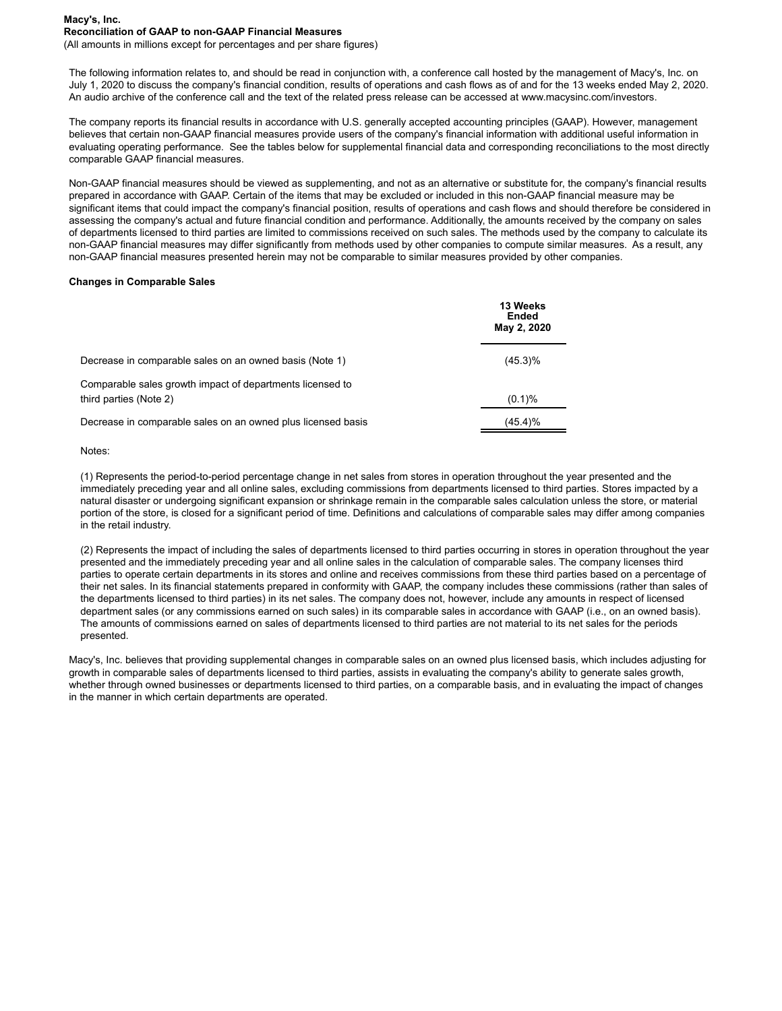#### **Macy's, Inc. Reconciliation of GAAP to non-GAAP Financial Measures**

(All amounts in millions except for percentages and per share figures)

The following information relates to, and should be read in conjunction with, a conference call hosted by the management of Macy's, Inc. on July 1, 2020 to discuss the company's financial condition, results of operations and cash flows as of and for the 13 weeks ended May 2, 2020. An audio archive of the conference call and the text of the related press release can be accessed at www.macysinc.com/investors.

The company reports its financial results in accordance with U.S. generally accepted accounting principles (GAAP). However, management believes that certain non-GAAP financial measures provide users of the company's financial information with additional useful information in evaluating operating performance. See the tables below for supplemental financial data and corresponding reconciliations to the most directly comparable GAAP financial measures.

Non-GAAP financial measures should be viewed as supplementing, and not as an alternative or substitute for, the company's financial results prepared in accordance with GAAP. Certain of the items that may be excluded or included in this non-GAAP financial measure may be significant items that could impact the company's financial position, results of operations and cash flows and should therefore be considered in assessing the company's actual and future financial condition and performance. Additionally, the amounts received by the company on sales of departments licensed to third parties are limited to commissions received on such sales. The methods used by the company to calculate its non-GAAP financial measures may differ significantly from methods used by other companies to compute similar measures. As a result, any non-GAAP financial measures presented herein may not be comparable to similar measures provided by other companies.

#### **Changes in Comparable Sales**

|                                                                                     | 13 Weeks<br>Ended<br>May 2, 2020 |
|-------------------------------------------------------------------------------------|----------------------------------|
| Decrease in comparable sales on an owned basis (Note 1)                             | $(45.3)\%$                       |
| Comparable sales growth impact of departments licensed to<br>third parties (Note 2) | $(0.1)$ %                        |
| Decrease in comparable sales on an owned plus licensed basis                        | $(45.4)\%$                       |

Notes:

(1) Represents the period-to-period percentage change in net sales from stores in operation throughout the year presented and the immediately preceding year and all online sales, excluding commissions from departments licensed to third parties. Stores impacted by a natural disaster or undergoing significant expansion or shrinkage remain in the comparable sales calculation unless the store, or material portion of the store, is closed for a significant period of time. Definitions and calculations of comparable sales may differ among companies in the retail industry.

(2) Represents the impact of including the sales of departments licensed to third parties occurring in stores in operation throughout the year presented and the immediately preceding year and all online sales in the calculation of comparable sales. The company licenses third parties to operate certain departments in its stores and online and receives commissions from these third parties based on a percentage of their net sales. In its financial statements prepared in conformity with GAAP, the company includes these commissions (rather than sales of the departments licensed to third parties) in its net sales. The company does not, however, include any amounts in respect of licensed department sales (or any commissions earned on such sales) in its comparable sales in accordance with GAAP (i.e., on an owned basis). The amounts of commissions earned on sales of departments licensed to third parties are not material to its net sales for the periods presented.

Macy's, Inc. believes that providing supplemental changes in comparable sales on an owned plus licensed basis, which includes adjusting for growth in comparable sales of departments licensed to third parties, assists in evaluating the company's ability to generate sales growth, whether through owned businesses or departments licensed to third parties, on a comparable basis, and in evaluating the impact of changes in the manner in which certain departments are operated.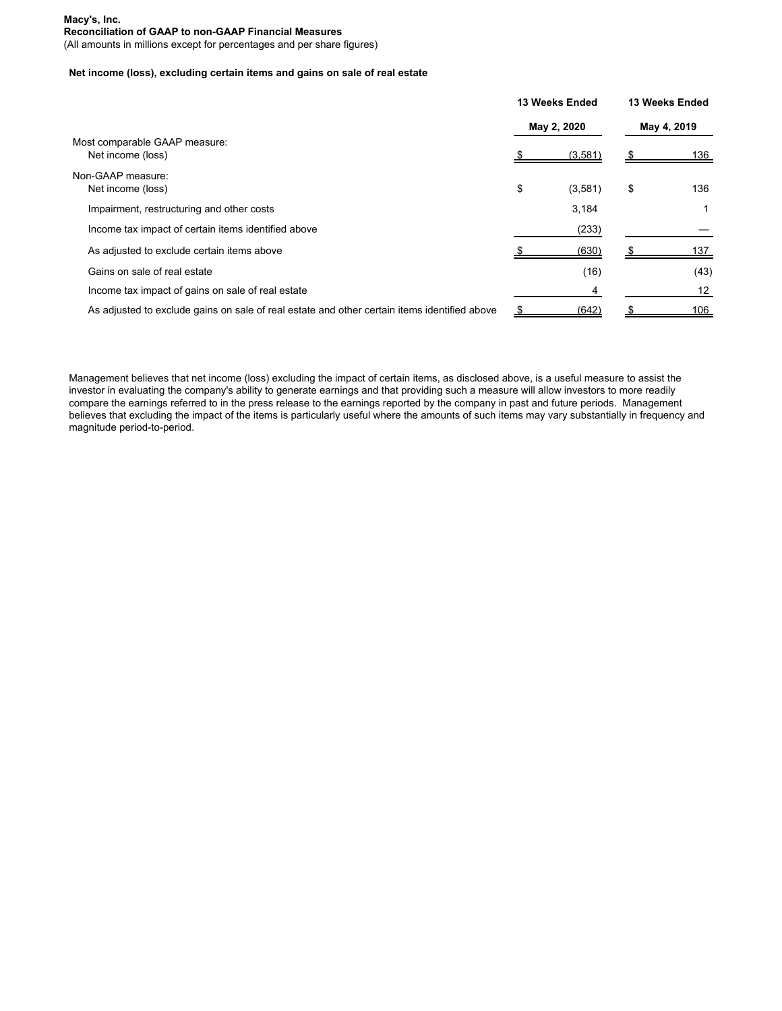## **Macy's, Inc. Reconciliation of GAAP to non-GAAP Financial Measures**

(All amounts in millions except for percentages and per share figures)

### **Net income (loss), excluding certain items and gains on sale of real estate**

|                                                                                              |             | <b>13 Weeks Ended</b> |             | 13 Weeks Ended |  |
|----------------------------------------------------------------------------------------------|-------------|-----------------------|-------------|----------------|--|
| Most comparable GAAP measure:<br>Net income (loss)                                           | May 2, 2020 |                       | May 4, 2019 |                |  |
|                                                                                              |             | (3,581)               |             | 136            |  |
| Non-GAAP measure:<br>Net income (loss)                                                       | \$          | (3,581)               | \$          | 136            |  |
| Impairment, restructuring and other costs                                                    |             | 3,184                 |             |                |  |
| Income tax impact of certain items identified above                                          |             | (233)                 |             |                |  |
| As adjusted to exclude certain items above                                                   |             | (630)                 |             | 137.           |  |
| Gains on sale of real estate                                                                 |             | (16)                  |             | (43)           |  |
| Income tax impact of gains on sale of real estate                                            |             |                       |             | 12             |  |
| As adjusted to exclude gains on sale of real estate and other certain items identified above |             | (642)                 |             | <u> 106 </u>   |  |

Management believes that net income (loss) excluding the impact of certain items, as disclosed above, is a useful measure to assist the investor in evaluating the company's ability to generate earnings and that providing such a measure will allow investors to more readily compare the earnings referred to in the press release to the earnings reported by the company in past and future periods. Management believes that excluding the impact of the items is particularly useful where the amounts of such items may vary substantially in frequency and magnitude period-to-period.